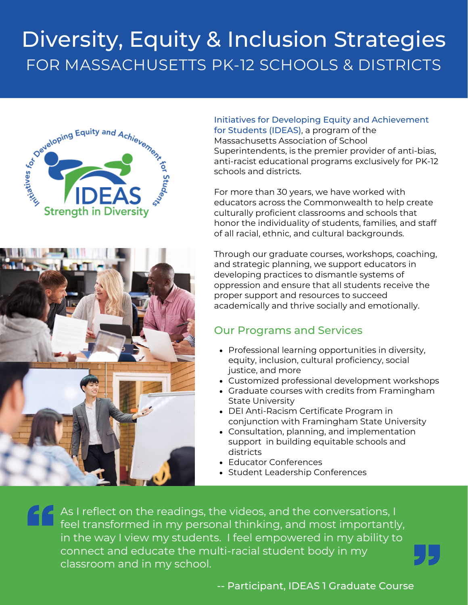# Diversity, Equity & Inclusion Strategies FOR MASSACHUSETTS PK-12 SCHOOLS & DISTRICTS





#### Initiatives for Developing Equity and Achievement for Students (IDEAS), a program of the Massachusetts Association of School Superintendents, is the premier provider of anti-bias, anti-racist educational programs exclusively for PK-12 schools and districts.

For more than 30 years, we have worked with educators across the Commonwealth to help create culturally proficient classrooms and schools that honor the individuality of students, families, and staff of all racial, ethnic, and cultural backgrounds.

Through our graduate courses, workshops, coaching, and strategic planning, we support educators in developing practices to dismantle systems of oppression and ensure that all students receive the proper support and resources to succeed academically and thrive socially and emotionally.

### Our Programs and Services

- Professional learning opportunities in diversity, equity, inclusion, cultural proficiency, social justice, and more
- Customized professional development workshops
- Graduate courses with credits from Framingham State University
- DEI Anti-Racism Certificate Program in conjunction with Framingham State University
- Consultation, planning, and implementation support in building equitable schools and districts
- Educator Conferences
- Student Leadership Conferences

As I reflect on the readings, the videos, and the conversations, I feel transformed in my personal thinking, and most importantly, in the way I view my students. I feel empowered in my ability to connect and educate the multi-racial student body in my classroom and in my school.